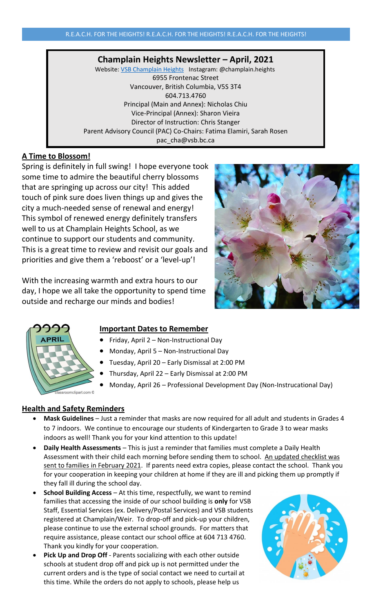# **Champlain Heights Newsletter – April, 2021**

Website: [VSB Champlain Heights](https://www.vsb.bc.ca/schools/champlain-heights/Pages/default.aspx) Instagram: @champlain.heights 6955 Frontenac Street Vancouver, British Columbia, V5S 3T4 604.713.4760 Principal (Main and Annex): Nicholas Chiu Vice-Principal (Annex): Sharon Vieira Director of Instruction: Chris Stanger Parent Advisory Council (PAC) Co-Chairs: Fatima Elamiri, Sarah Rosen pac\_cha@vsb.bc.ca

# **A Time to Blossom!**

Spring is definitely in full swing! I hope everyone took some time to admire the beautiful cherry blossoms that are springing up across our city! This added atouch of pink sure does liven things up and gives the city a much-needed sense of renewal and energy! This symbol of renewed energy definitely transfers well to us at Champlain Heights School, as we continue to support our students and community. This is a great time to review and revisit our goals and priorities and give them a 'reboost' or a 'level-up'!

With the increasing warmth and extra hours to our day, I hope we all take the opportunity to spend time outside and recharge our minds and bodies!





# **Important Dates to Remember**

- Friday, April 2 Non-Instructional Day
- Monday, April 5 Non-Instructional Day
- Tuesday, April 20 Early Dismissal at 2:00 PM
- Thursday, April 22 Early Dismissal at 2:00 PM
- Monday, April 26 Professional Development Day (Non-Instrucational Day)

# **Health and Safety Reminders**

- **Mask Guidelines** Just a reminder that masks are now required for all adult and students in Grades 4 to 7 indoors. We continue to encourage our students of Kindergarten to Grade 3 to wear masks indoors as well! Thank you for your kind attention to this update!
- **Daily Health Assessments** This is just a reminder that families must complete a Daily Health Assessment with their child each morning before sending them to school. An updated checklist was sent to families in February 2021. If parents need extra copies, please contact the school. Thank you for your cooperation in keeping your children at home if they are ill and picking them up promptly if they fall ill during the school day.
- **School Building Access** At this time, respectfully, we want to remind families that accessing the inside of our school building is **only** for VSB Staff, Essential Services (ex. Delivery/Postal Services) and VSB students registered at Champlain/Weir. To drop-off and pick-up your children, please continue to use the external school grounds. For matters that require assistance, please contact our school office at 604 713 4760. Thank you kindly for your cooperation.
- Pick Up and Drop Off Parents socializing with each other outside schools at student drop off and pick up is not permitted under the current orders and is the type of social contact we need to curtail at this time. While the orders do not apply to schools, please help us

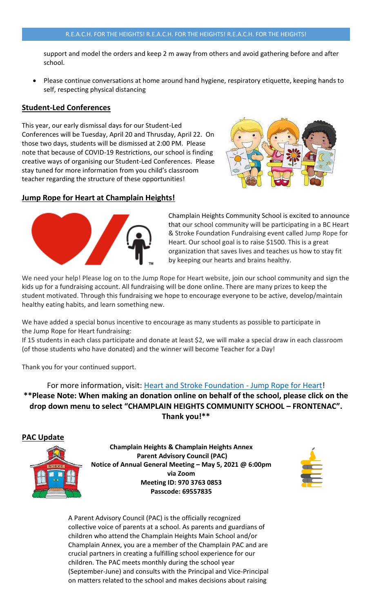### R.E.A.C.H. FOR THE HEIGHTS! R.E.A.C.H. FOR THE HEIGHTS! R.E.A.C.H. FOR THE HEIGHTS!

support and model the orders and keep 2 m away from others and avoid gathering before and after school.

• Please continue conversations at home around hand hygiene, respiratory etiquette, keeping hands to self, respecting physical distancing

## **Student-Led Conferences**

This year, our early dismissal days for our Student-Led Conferences will be Tuesday, April 20 and Thrusday, April 22. On those two days, students will be dismissed at 2:00 PM. Please note that because of COVID-19 Restrictions, our school is finding creative ways of organising our Student-Led Conferences. Please stay tuned for more information from you child's classroom teacher regarding the structure of these opportunities!



## **Jump Rope for Heart at Champlain Heights!**



Champlain Heights Community School is excited to announce that our school community will be participating in a BC Heart & Stroke Foundation Fundraising event called Jump Rope for Heart. Our school goal is to raise \$1500. This is a great organization that saves lives and teaches us how to stay fit by keeping our hearts and brains healthy.

We need your help! Please log on to the Jump Rope for Heart website, join our school community and sign the kids up for a fundraising account. All fundraising will be done online. There are many prizes to keep the student motivated. Through this fundraising we hope to encourage everyone to be active, develop/maintain healthy eating habits, and learn something new.

We have added a special bonus incentive to encourage as many students as possible to participate in the Jump Rope for Heart fundraising:

If 15 students in each class participate and donate at least \$2, we will make a special draw in each classroom (of those students who have donated) and the winner will become Teacher for a Day!

Thank you for your continued support.

## For more information, visit: [Heart and Stroke Foundation -](https://secure-support.heartandstroke.ca/site/SPageServer/?pagename=jfh_Home) Jump Rope for Heart!

**\*\*Please Note: When making an donation online on behalf of the school, please click on the drop down menu to select "CHAMPLAIN HEIGHTS COMMUNITY SCHOOL – FRONTENAC". Thank you!\*\***





**Champlain Heights & Champlain Heights Annex Parent Advisory Council (PAC) Notice of Annual General Meeting – May 5, 2021 @ 6:00pm via Zoom Meeting ID: 970 3763 0853 Passcode: 69557835**



A Parent Advisory Council (PAC) is the officially recognized collective voice of parents at a school. As parents and guardians of children who attend the Champlain Heights Main School and/or Champlain Annex, you are a member of the Champlain PAC and are crucial partners in creating a fulfilling school experience for our children. The PAC meets monthly during the school year (September-June) and consults with the Principal and Vice-Principal on matters related to the school and makes decisions about raising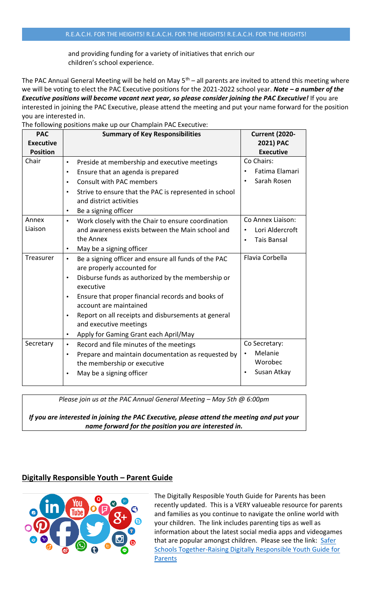and providing funding for a variety of initiatives that enrich our children's school experience.

The PAC Annual General Meeting will be held on May  $5<sup>th</sup>$  – all parents are invited to attend this meeting where we will be voting to elect the PAC Executive positions for the 2021-2022 school year. *Note – a number of the Executive positions will become vacant next year, so please consider joining the PAC Executive!* If you are interested in joining the PAC Executive, please attend the meeting and put your name forward for the position you are interested in.

| The following positions make up our Champlain PAC Executive: |                                                                                                                                                                                                                                                                                                                                                                                                                        |                                                                 |  |
|--------------------------------------------------------------|------------------------------------------------------------------------------------------------------------------------------------------------------------------------------------------------------------------------------------------------------------------------------------------------------------------------------------------------------------------------------------------------------------------------|-----------------------------------------------------------------|--|
| <b>PAC</b><br><b>Executive</b><br><b>Position</b>            | <b>Summary of Key Responsibilities</b>                                                                                                                                                                                                                                                                                                                                                                                 | <b>Current (2020-</b><br>2021) PAC<br><b>Executive</b>          |  |
| Chair                                                        | Preside at membership and executive meetings<br>$\bullet$<br>Ensure that an agenda is prepared<br>$\bullet$<br><b>Consult with PAC members</b><br>$\bullet$<br>Strive to ensure that the PAC is represented in school<br>$\bullet$<br>and district activities<br>Be a signing officer<br>$\bullet$                                                                                                                     | Co Chairs:<br>Fatima Elamari<br>Sarah Rosen                     |  |
| Annex<br>Liaison                                             | Work closely with the Chair to ensure coordination<br>$\bullet$<br>and awareness exists between the Main school and<br>the Annex<br>May be a signing officer<br>$\bullet$                                                                                                                                                                                                                                              | Co Annex Liaison:<br>Lori Aldercroft<br><b>Tais Bansal</b>      |  |
| Treasurer                                                    | Be a signing officer and ensure all funds of the PAC<br>$\bullet$<br>are properly accounted for<br>Disburse funds as authorized by the membership or<br>$\bullet$<br>executive<br>Ensure that proper financial records and books of<br>$\bullet$<br>account are maintained<br>Report on all receipts and disbursements at general<br>$\bullet$<br>and executive meetings<br>Apply for Gaming Grant each April/May<br>٠ | Flavia Corbella                                                 |  |
| Secretary                                                    | Record and file minutes of the meetings<br>$\bullet$<br>Prepare and maintain documentation as requested by<br>$\bullet$<br>the membership or executive<br>May be a signing officer                                                                                                                                                                                                                                     | Co Secretary:<br>Melanie<br>$\bullet$<br>Worobec<br>Susan Atkay |  |

*Please join us at the PAC Annual General Meeting – May 5th @ 6:00pm* 

*If you are interested in joining the PAC Executive, please attend the meeting and put your name forward for the position you are interested in.*

### **Digitally Responsible Youth – Parent Guide**



The Digitally Resposible Youth Guide for Parents has been recently updated. This is a VERY valueable resource for parents and families as you continue to navigate the online world with your children. The link includes parenting tips as well as information about the latest social media apps and videogames that are popular amongst children. Please see the link: Safer [Schools Together-Raising Digitally Responsible Youth Guide for](https://saferschoolstogether.com/wp-content/uploads/2020/03/Raising-Digitally-Responsible-Youth-Guide-2020.pdf)  **[Parents](https://saferschoolstogether.com/wp-content/uploads/2020/03/Raising-Digitally-Responsible-Youth-Guide-2020.pdf)**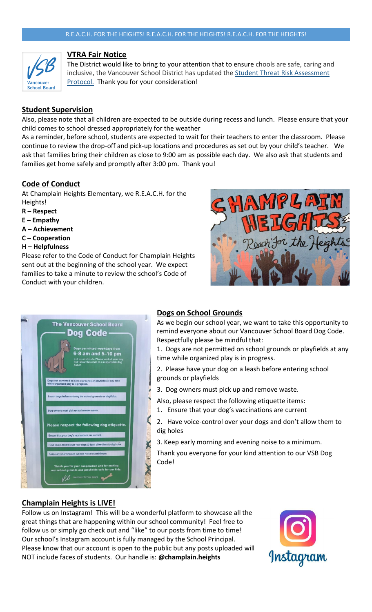

## **VTRA Fair Notice**

The District would like to bring to your attention that to ensure chools are safe, caring and inclusive, the Vancouver School District has updated the [Student Threat Risk Assessment](http://www.vsb.bc.ca/Student_Support/Safe_Caring/Student_Threat_Risk_Assessment/Documents/VSB%20%E2%80%93%20Student%20Threat%20Risk%20Assessment%20Protocol-Fair%20Notice.pdf)  [Protocol.](http://www.vsb.bc.ca/Student_Support/Safe_Caring/Student_Threat_Risk_Assessment/Documents/VSB%20%E2%80%93%20Student%20Threat%20Risk%20Assessment%20Protocol-Fair%20Notice.pdf) Thank you for your consideration!

# **Student Supervision**

Also, please note that all children are expected to be outside during recess and lunch. Please ensure that your child comes to school dressed appropriately for the weather

As a reminder, before school, students are expected to wait for their teachers to enter the classroom. Please continue to review the drop-off and pick-up locations and procedures as set out by your child's teacher. We ask that families bring their children as close to 9:00 am as possible each day. We also ask that students and families get home safely and promptly after 3:00 pm. Thank you!

# **Code of Conduct**

At Champlain Heights Elementary, we R.E.A.C.H. for the Heights!

- **R – Respect**
- **E – Empathy**
- **A – Achievement**
- **C – Cooperation**
- **H – Helpfulness**

Please refer to the Code of Conduct for Champlain Heights sent out at the beginning of the school year. We expect families to take a minute to review the school's Code of Conduct with your children.





## **Dogs on School Grounds**

As we begin our school year, we want to take this opportunity to remind everyone about our Vancouver School Board Dog Code. Respectfully please be mindful that:

1. Dogs are not permitted on school grounds or playfields at any time while organized play is in progress.

2. Please have your dog on a leash before entering school grounds or playfields

3. Dog owners must pick up and remove waste.

Also, please respect the following etiquette items:

1. Ensure that your dog's vaccinations are current

2. Have voice-control over your dogs and don't allow them to dig holes

3. Keep early morning and evening noise to a minimum.

Thank you everyone for your kind attention to our VSB Dog Code!

## **Champlain Heights is LIVE!**

Follow us on Instagram! This will be a wonderful platform to showcase all the great things that are happening within our school community! Feel free to follow us or simply go check out and "like" to our posts from time to time! Our school's Instagram account is fully managed by the School Principal. Please know that our account is open to the public but any posts uploaded will NOT include faces of students. Our handle is: **@champlain.heights**

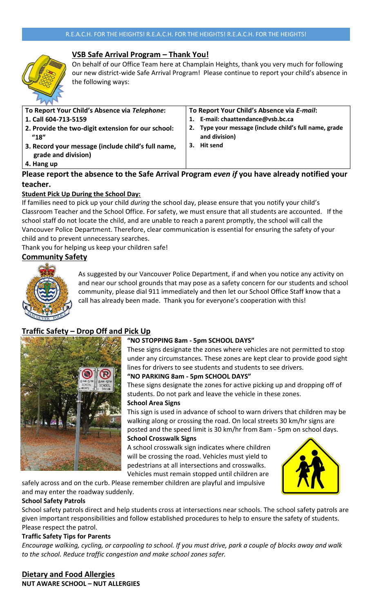

# **VSB Safe Arrival Program – Thank You!**

On behalf of our Office Team here at Champlain Heights, thank you very much for following our new district-wide Safe Arrival Program! Please continue to report your child's absence in the following ways:

| To Report Your Child's Absence via Telephone:                                            | To Report Your Child's Absence via E-mail:                                 |
|------------------------------------------------------------------------------------------|----------------------------------------------------------------------------|
| 1. Call 604-713-5159                                                                     | E-mail: chaattendance@vsb.bc.ca                                            |
| 2. Provide the two-digit extension for our school:<br>$^{\prime\prime}18^{\prime\prime}$ | Type your message (include child's full name, grade<br>2.<br>and division) |
| 3. Record your message (include child's full name,<br>grade and division)                | <b>Hit send</b><br>З.                                                      |
| 4. Hang up                                                                               |                                                                            |

# **Please report the absence to the Safe Arrival Program** *even if* **you have already notified your teacher.**

## **Student Pick Up During the School Day:**

If families need to pick up your child *during* the school day, please ensure that you notify your child's Classroom Teacher and the School Office. For safety, we must ensure that all students are accounted. If the school staff do not locate the child, and are unable to reach a parent promptly, the school will call the Vancouver Police Department. Therefore, clear communication is essential for ensuring the safety of your child and to prevent unnecessary searches.

Thank you for helping us keep your children safe!

# **Community Safety**



As suggested by our Vancouver Police Department, if and when you notice any activity on and near our school grounds that may pose as a safety concern for our students and school community, please dial 911 immediately and then let our School Office Staff know that a call has already been made. Thank you for everyone's cooperation with this!

# **Traffic Safety – Drop Off and Pick Up**



## **"NO STOPPING 8am - 5pm SCHOOL DAYS"**

These signs designate the zones where vehicles are not permitted to stop under any circumstances. These zones are kept clear to provide good sight lines for drivers to see students and students to see drivers.

### **"NO PARKING 8am - 5pm SCHOOL DAYS"**

These signs designate the zones for active picking up and dropping off of students. Do not park and leave the vehicle in these zones.

### **School Area Signs**

This sign is used in advance of school to warn drivers that children may be walking along or crossing the road. On local streets 30 km/hr signs are posted and the speed limit is 30 km/hr from 8am - 5pm on school days. **School Crosswalk Signs** 

A school crosswalk sign indicates where children will be crossing the road. Vehicles must yield to pedestrians at all intersections and crosswalks. Vehicles must remain stopped until children are



### **School Safety Patrols**

School safety patrols direct and help students cross at intersections near schools. The school safety patrols are given important responsibilities and follow established procedures to help to ensure the safety of students. Please respect the patrol.

### **Traffic Safety Tips for Parents**

*Encourage walking, cycling, or carpooling to school. If you must drive, park a couple of blocks away and walk to the school. Reduce traffic congestion and make school zones safer.*

**Dietary and Food Allergies NUT AWARE SCHOOL – NUT ALLERGIES**